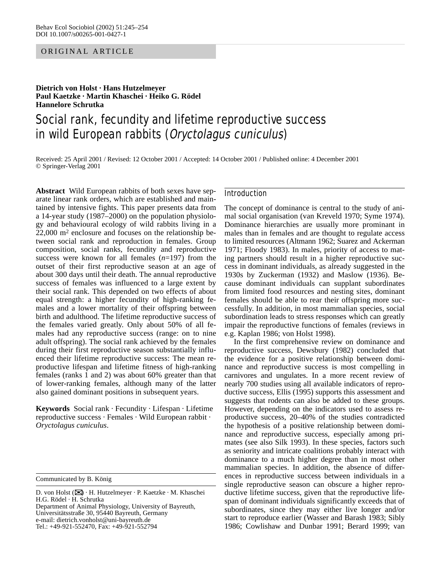## ORIGINAL ARTICLE

**Dietrich von Holst · Hans Hutzelmeyer Paul Kaetzke · Martin Khaschei · Heiko G. Rödel Hannelore Schrutka**

# Social rank, fecundity and lifetime reproductive success in wild European rabbits (Oryctolagus cuniculus)

Received: 25 April 2001 / Revised: 12 October 2001 / Accepted: 14 October 2001 / Published online: 4 December 2001 © Springer-Verlag 2001

**Abstract** Wild European rabbits of both sexes have separate linear rank orders, which are established and maintained by intensive fights. This paper presents data from a 14-year study (1987–2000) on the population physiology and behavioural ecology of wild rabbits living in a 22,000 m2 enclosure and focuses on the relationship between social rank and reproduction in females. Group composition, social ranks, fecundity and reproductive success were known for all females (*n*=197) from the outset of their first reproductive season at an age of about 300 days until their death. The annual reproductive success of females was influenced to a large extent by their social rank. This depended on two effects of about equal strength: a higher fecundity of high-ranking females and a lower mortality of their offspring between birth and adulthood. The lifetime reproductive success of the females varied greatly. Only about 50% of all females had any reproductive success (range: on to nine adult offspring). The social rank achieved by the females during their first reproductive season substantially influenced their lifetime reproductive success: The mean reproductive lifespan and lifetime fitness of high-ranking females (ranks 1 and 2) was about 60% greater than that of lower-ranking females, although many of the latter also gained dominant positions in subsequent years.

**Keywords** Social rank · Fecundity · Lifespan · Lifetime reproductive success · Females · Wild European rabbit · *Oryctolagus cuniculus*.

Communicated by B. König

Tel.: +49-921-552470, Fax: +49-921-552794

## Introduction

The concept of dominance is central to the study of animal social organisation (van Kreveld 1970; Syme 1974). Dominance hierarchies are usually more prominant in males than in females and are thought to regulate access to limited resources (Altmann 1962; Suarez and Ackerman 1971; Floody 1983). In males, priority of access to mating partners should result in a higher reproductive success in dominant individuals, as already suggested in the 1930s by Zuckerman (1932) and Maslow (1936). Because dominant individuals can supplant subordinates from limited food resources and nesting sites, dominant females should be able to rear their offspring more successfully. In addition, in most mammalian species, social subordination leads to stress responses which can greatly impair the reproductive functions of females (reviews in e.g. Kaplan 1986; von Holst 1998).

In the first comprehensive review on dominance and reproductive success, Dewsbury (1982) concluded that the evidence for a positive relationship between dominance and reproductive success is most compelling in carnivores and ungulates. In a more recent review of nearly 700 studies using all available indicators of reproductive success, Ellis (1995) supports this assessment and suggests that rodents can also be added to these groups. However, depending on the indicators used to assess reproductive success, 20–40% of the studies contradicted the hypothesis of a positive relationship between dominance and reproductive success, especially among primates (see also Silk 1993). In these species, factors such as seniority and intricate coalitions probably interact with dominance to a much higher degree than in most other mammalian species. In addition, the absence of differences in reproductive success between individuals in a single reproductive season can obscure a higher reproductive lifetime success, given that the reproductive lifespan of dominant individuals significantly exceeds that of subordinates, since they may either live longer and/or start to reproduce earlier (Wasser and Barash 1983; Sibly 1986; Cowlishaw and Dunbar 1991; Berard 1999; van

D. von Holst (✉) · H. Hutzelmeyer · P. Kaetzke · M. Khaschei H.G. Rödel · H. Schrutka Department of Animal Physiology, University of Bayreuth, Universitätsstraße 30, 95440 Bayreuth, Germany e-mail: dietrich.vonholst@uni-bayreuth.de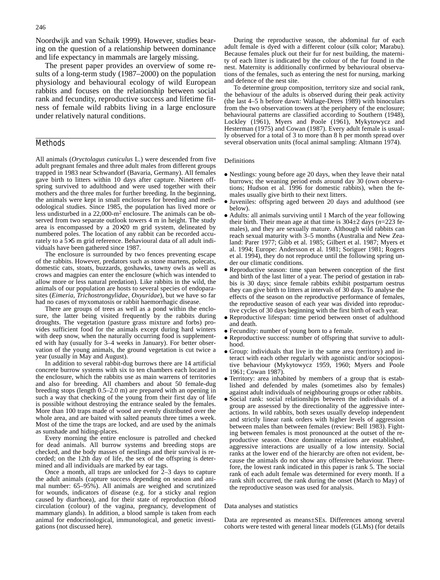Noordwijk and van Schaik 1999). However, studies bearing on the question of a relationship between dominance and life expectancy in mammals are largely missing.

The present paper provides an overview of some results of a long-term study (1987–2000) on the population physiology and behavioural ecology of wild European rabbits and focuses on the relationship between social rank and fecundity, reproductive success and lifetime fitness of female wild rabbits living in a large enclosure under relatively natural conditions.

## Methods

All animals (*Oryctolagus cuniculus* L.) were descended from five adult pregnant females and three adult males from different groups trapped in 1983 near Schwandorf (Bavaria, Germany). All females gave birth to litters within 10 days after capture. Nineteen offspring survived to adulthood and were used together with their mothers and the three males for further breeding. In the beginning, the animals were kept in small enclosures for breeding and methodological studies. Since 1985, the population has lived more or less undisturbed in a 22,000-m2 enclosure. The animals can be observed from two separate outlook towers 4 m in height. The study area is encompassed by a 20×20 m grid system, delineated by numbered poles. The location of any rabbit can be recorded accurately to a 5×5 m grid reference. Behavioural data of all adult individuals have been gathered since 1987.

The enclosure is surrounded by two fences preventing escape of the rabbits. However, predators such as stone martens, polecats, domestic cats, stoats, buzzards, goshawks, tawny owls as well as crows and magpies can enter the enclosure (which was intended to allow more or less natural predation). Like rabbits in the wild, the animals of our population are hosts to several species of endoparasites (*Eimeria*, *Trichostrongylidae*, *Oxyuridae*), but we have so far had no cases of myxomatosis or rabbit haemorrhagic disease.

There are groups of trees as well as a pond within the enclosure, the latter being visited frequently by the rabbits during droughts. The vegetation (pasture grass mixture and forbs) provides sufficient food for the animals except during hard winters with deep snow, when the naturally occurring food is supplemented with hay (usually for 3–4 weeks in January). For better observation of the young animals, the ground vegetation is cut twice a year (usually in May and August).

In addition to several rabbit-dug burrows there are 14 artificial concrete burrow systems with six to ten chambers each located in the enclosure, which the rabbits use as main warrens of territories and also for breeding. All chambers and about 50 female-dug breeding stops (length 0.5–2.0 m) are prepared with an opening in such a way that checking of the young from their first day of life is possible without destroying the entrance sealed by the females. More than 100 traps made of wood are evenly distributed over the whole area, and are baited with salted peanuts three times a week. Most of the time the traps are locked, and are used by the animals as sunshade and hiding-places.

Every morning the entire enclosure is patrolled and checked for dead animals. All burrow systems and breeding stops are checked, and the body masses of nestlings and their survival is recorded; on the 12th day of life, the sex of the offspring is determined and all individuals are marked by ear tags.

Once a month, all traps are unlocked for 2–3 days to capture the adult animals (capture success depending on season and animal number: 65–95%). All animals are weighed and scrutinized for wounds, indicators of disease (e.g. for a sticky anal region caused by diarrhoea), and for their state of reproduction (blood circulation (colour) of the vagina, pregnancy, development of mammary glands). In addition, a blood sample is taken from each animal for endocrinological, immunological, and genetic investigations (not discussed here).

During the reproductive season, the abdominal fur of each adult female is dyed with a different colour (silk color; Marabu). Because females pluck out their fur for nest building, the maternity of each litter is indicated by the colour of the fur found in the nest. Maternity is additionally confirmed by behavioural observations of the females, such as entering the nest for nursing, marking and defence of the nest site.

To determine group composition, territory size and social rank, the behaviour of the adults is observed during their peak activity (the last 4–5 h before dawn: Wallage-Drees 1989) with binoculars from the two observation towers at the periphery of the enclosure; behavioural patterns are classified according to Southern (1948), Lockley (1961), Myers and Poole (1961), Mykytowycz and Hesterman (1975) and Cowan (1987). Every adult female is usually observed for a total of 3 to more than 8 h per month spread over several observation units (focal animal sampling: Altmann 1974).

#### Definitions

- Nestlings: young before age 20 days, when they leave their natal burrows; the weaning period ends around day 30 (own observations; Hudson et al. 1996 for domestic rabbits), when the females usually give birth to their next litters.
- Juveniles: offspring aged between 20 days and adulthood (see below).
- Adults: all animals surviving until 1 March of the year following their birth. Their mean age at that time is 304±2 days (*n*=223 females), and they are sexually mature. Although wild rabbits can reach sexual maturity with 3–5 months (Australia and New Zealand: Parer 1977; Gibb et al. 1985; Gilbert et al. 1987; Myers et al. 1994; Europe: Andersson et al. 1981; Soriguer 1981; Rogers et al. 1994), they do not reproduce until the following spring under our climatic conditions.
- Reproductive season: time span between conception of the first and birth of the last litter of a year. The period of gestation in rabbis is 30 days; since female rabbits exhibit postpartum oestrus they can give birth to litters at intervals of 30 days. To analyse the effects of the season on the reproductive performance of females, the reproductive season of each year was divided into reproductive cycles of 30 days beginning with the first birth of each year.
- Reproductive lifespan: time period between onset of adulthood and death.
- Fecundity: number of young born to a female.
- Reproductive success: number of offspring that survive to adulthood.
- Group: individuals that live in the same area (territory) and interact with each other regularly with agonistic and/or sociopositive behaviour (Mykytowycz 1959, 1960; Myers and Poole 1961; Cowan 1987).
- Territory: area inhabited by members of a group that is established and defended by males (sometimes also by females) against adult individuals of neighbouring groups or other rabbits.
- Social rank: social relationships between the individuals of a group are assessed by the directionality of the aggressive interactions. In wild rabbits, both sexes usually develop independent and strictly linear rank orders with higher levels of aggression between males than between females (review: Bell 1983). Fighting between females is most pronounced at the outset of the reproductive season. Once dominance relations are established, aggressive interactions are usually of a low intensity. Social ranks at the lower end of the hierarchy are often not evident, because the animals do not show any offensive behaviour. Therefore, the lowest rank indicated in this paper is rank 5. The social rank of each adult female was determined for every month. If a rank shift occurred, the rank during the onset (March to May) of the reproductive season was used for analysis.

#### Data analyses and statistics

Data are represented as means±SEs. Differences among several cohorts were tested with general linear models (GLMs) (for details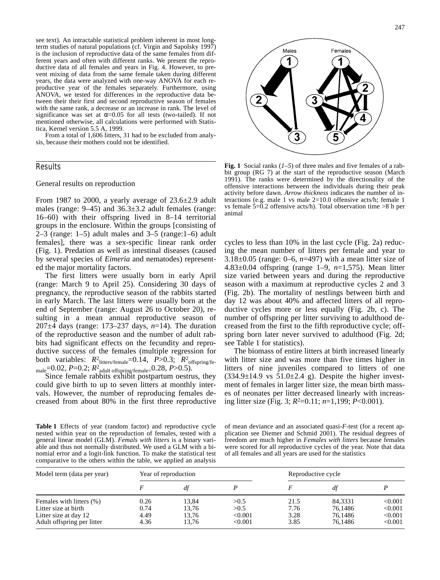see text). An intractable statistical problem inherent in most longterm studies of natural populations (cf. Virgin and Sapolsky 1997) is the inclusion of reproductive data of the same females from different years and often with different ranks. We present the reproductive data of all females and years in Fig. 4. However, to prevent mixing of data from the same female taken during different years, the data were analyzed with one-way ANOVA for each reproductive year of the females separately. Furthermore, using ANOVA, we tested for differences in the reproductive data between their their first and second reproductive season of females with the same rank, a decrease or an increase in rank. The level of significance was set at  $\alpha$ =0.05 for all tests (two-tailed). If not mentioned otherwise, all calculations were performed with Statistica, Kernel version 5.5 A, 1999.

From a total of 1,606 litters, 31 had to be excluded from analysis, because their mothers could not be identified.

## Results

#### General results on reproduction

From 1987 to 2000, a yearly average of 23.6±2.9 adult males (range: 9–45) and 36.3±3.2 adult females (range: 16–60) with their offspring lived in 8–14 territorial groups in the enclosure. Within the groups [consisting of 2–3 (range:  $1-5$ ) adult males and 3–5 (range: $1-6$ ) adult females], there was a sex-specific linear rank order (Fig. 1). Predation as well as intestinal diseases (caused by several species of *Eimeria* and nematodes) represented the major mortality factors.

The first litters were usually born in early April (range: March 9 to April 25). Considering 30 days of pregnancy, the reproductive season of the rabbits started in early March. The last litters were usually born at the end of September (range: August 26 to October 20), resulting in a mean annual reproductive season of 207±4 days (range: 173–237 days, *n*=14). The duration of the reproductive season and the number of adult rabbits had significant effects on the fecundity and reproductive success of the females (multiple regression for both variables:  $R_{\text{litters/female}}^2$ =0.14,  $P > 0.3$ ;  $R_{\text{offspring/fe}}^2$ male=0.02, *P*=0.2; *R*<sup>2</sup> adult offspring/female=0.28, *P*>0.5).

Since female rabbits exhibit postpartum oestrus, they could give birth to up to seven litters at monthly intervals. However, the number of reproducing females decreased from about 80% in the first three reproductive

Males Females

**Fig. 1** Social ranks (*1–5*) of three males and five females of a rabbit group (RG 7) at the start of the reproductive season (March 1991). The ranks were determined by the directionality of the offensive interactions between the individuals during their peak activity before dawn. *Arrow thickness* indicates the number of interactions (e.g. male 1 vs male 2=10.0 offensive acts/h; female 1 vs female  $5=0.2$  offensive acts/h). Total observation time  $>8$  h per animal

cycles to less than 10% in the last cycle (Fig. 2a) reducing the mean number of litters per female and year to 3.18±0.05 (range: 0–6, *n*=497) with a mean litter size of 4.83±0.04 offspring (range 1–9, *n*=1,575). Mean litter size varied between years and during the reproductive season with a maximum at reproductive cycles 2 and 3 (Fig. 2b). The mortality of nestlings between birth and day 12 was about 40% and affected litters of all reproductive cycles more or less equally (Fig. 2b, c). The number of offspring per litter surviving to adulthood decreased from the first to the fifth reproductive cycle; offspring born later never survived to adulthood (Fig. 2d; see Table 1 for statistics).

The biomass of entire litters at birth increased linearly with litter size and was more than five times higher in litters of nine juveniles compared to litters of one  $(334.9\pm14.9 \text{ vs } 51.0\pm2.4 \text{ g})$ . Despite the higher investment of females in larger litter size, the mean birth masses of neonates per litter decreased linearly with increasing litter size (Fig. 3; *R*2=0.11; *n*=1,199; *P*<0.001).

**Table 1** Effects of year (random factor) and reproductive cycle nested within year on the reproduction of females, tested with a general linear model (GLM). *Femals with litters* is a binary variable and thus not normally distributed. We used a GLM with a binomial error and a logit-link function. To make the statistical test comparative to the others within the table, we applied an analysis

of mean deviance and an associated quasi-*F*-test (for a recent application see Diemer and Schmid 2001). The residual degrees of freedom are much higher in *Females with litters* because females were scored for all reproductive cycles of the year. Note that data of all females and all years are used for the statistics

| Model term (data per year)                                                                              | Year of reproduction         |                                  |                                     | Reproductive cycle           |                                          |                                          |
|---------------------------------------------------------------------------------------------------------|------------------------------|----------------------------------|-------------------------------------|------------------------------|------------------------------------------|------------------------------------------|
|                                                                                                         |                              | df                               |                                     |                              | di                                       |                                          |
| Females with litters (%)<br>Litter size at birth<br>Litter size at day 12<br>Adult offspring per litter | 0.26<br>0.74<br>4.49<br>4.36 | 13.84<br>13.76<br>13.76<br>13.76 | > 0.5<br>>0.5<br>< 0.001<br>< 0.001 | 21.5<br>7.76<br>3.28<br>3.85 | 84,3331<br>76.1486<br>76.1486<br>76.1486 | < 0.001<br>< 0.001<br>< 0.001<br>< 0.001 |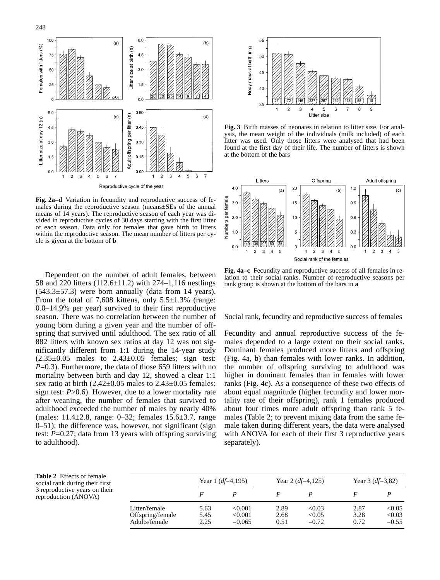



**Fig. 2a–d** Variation in fecundity and reproductive success of females during the reproductive season (means±SEs of the annual means of 14 years). The reproductive season of each year was divided in reproductive cycles of 30 days starting with the first litter of each season. Data only for females that gave birth to litters within the reproductive season. The mean number of litters per cycle is given at the bottom of **b**

Dependent on the number of adult females, between 58 and 220 litters (112.6±11.2) with 274–1,116 nestlings  $(543.3\pm57.3)$  were born annually (data from 14 years). From the total of 7,608 kittens, only  $5.5\pm1.3\%$  (range: 0.0–14.9% per year) survived to their first reproductive season. There was no correlation between the number of young born during a given year and the number of offspring that survived until adulthood. The sex ratio of all 882 litters with known sex ratios at day 12 was not significantly different from 1:1 during the 14-year study  $(2.35\pm0.05)$  males to  $2.43\pm0.05$  females; sign test: *P*=0.3). Furthermore, the data of those 659 litters with no mortality between birth and day 12, showed a clear 1:1 sex ratio at birth  $(2.42\pm0.05$  males to  $2.43\pm0.05$  females; sign test: *P*>0.6). However, due to a lower mortality rate after weaning, the number of females that survived to adulthood exceeded the number of males by nearly 40% (males: 11.4±2.8, range: 0–32; females 15.6±3.7, range 0–51); the difference was, however, not significant (sign test: *P*=0.27; data from 13 years with offspring surviving to adulthood).



**Fig. 3** Birth masses of neonates in relation to litter size. For analysis, the mean weight of the individuals (milk included) of each litter was used. Only those litters were analysed that had been found at the first day of their life. The number of litters is shown at the bottom of the bars



**Fig. 4a–c** Fecundity and reproductive success of all females in relation to their social ranks. Number of reproductive seasons per rank group is shown at the bottom of the bars in **a**

Social rank, fecundity and reproductive success of females

Fecundity and annual reproductive success of the females depended to a large extent on their social ranks. Dominant females produced more litters and offspring (Fig. 4a, b) than females with lower ranks. In addition, the number of offspring surviving to adulthood was higher in dominant females than in females with lower ranks (Fig. 4c). As a consequence of these two effects of about equal magnitude (higher fecundity and lower mortality rate of their offspring), rank 1 females produced about four times more adult offspring than rank 5 females (Table 2; to prevent mixing data from the same female taken during different years, the data were analysed with ANOVA for each of their first 3 reproductive years separately).

**Table 2** Effects of female social rank during their first 3 reproductive years on their reproduction (ANOVA)

|                                                    | Year 1 $(df=4,195)$  |                                | Year 2 $(df=4,125)$  |                             | Year 3 $(df=3,82)$   |                             |
|----------------------------------------------------|----------------------|--------------------------------|----------------------|-----------------------------|----------------------|-----------------------------|
|                                                    |                      |                                |                      |                             |                      |                             |
| Litter/female<br>Offspring/female<br>Adults/female | 5.63<br>5.45<br>2.25 | < 0.001<br>< 0.001<br>$=0.065$ | 2.89<br>2.68<br>0.51 | < 0.03<br>< 0.05<br>$=0.72$ | 2.87<br>3.28<br>0.72 | < 0.05<br>< 0.03<br>$=0.55$ |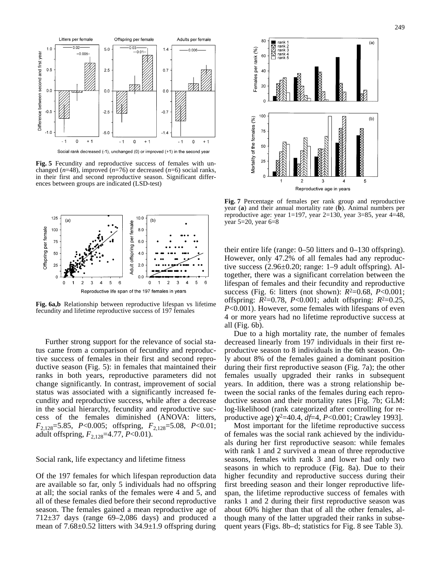

Social rank decreased (-1), unchanged (0) or improved (+1) in the second year

**Fig. 5** Fecundity and reproductive success of females with unchanged (*n*=48), improved (*n*=76) or decreased (*n*=6) social ranks, in their first and second reproductive season. Significant differences between groups are indicated (LSD-test)



**Fig. 6a,b** Relationship between reproductive lifespan vs lifetime fecundity and lifetime reproductive success of 197 females

Further strong support for the relevance of social status came from a comparison of fecundity and reproductive success of females in their first and second reproductive season (Fig. 5): in females that maintained their ranks in both years, reproductive parameters did not change significantly. In contrast, improvement of social status was associated with a significantly increased fecundity and reproductive success, while after a decrease in the social hierarchy, fecundity and reproductive success of the females diminished (ANOVA: litters, *F*2,128=5.85, *P*<0.005; offspring, *F*2,128=5.08, *P*<0.01; adult offspring, *F*2,128=4.77, *P*<0.01).

### Social rank, life expectancy and lifetime fitness

Of the 197 females for which lifespan reproduction data are available so far, only 5 individuals had no offspring at all; the social ranks of the females were 4 and 5, and all of these females died before their second reproductive season. The females gained a mean reproductive age of  $712\pm37$  days (range 69–2,086 days) and produced a mean of 7.68±0.52 litters with 34.9±1.9 offspring during



**Fig. 7** Percentage of females per rank group and reproductive year (**a**) and their annual mortality rate (**b**). Animal numbers per reproductive age: year 1=197, year 2=130, year 3=85, year 4=48, year 5=20, year 6=8

their entire life (range: 0–50 litters and 0–130 offspring). However, only 47.2% of all females had any reproductive success (2.96±0.20; range: 1–9 adult offspring). Altogether, there was a significant correlation between the lifespan of females and their fecundity and reproductive success (Fig. 6: litters (not shown): *R*2=0.68, *P*<0.001; offspring: *R*2=0.78, *P*<0.001; adult offspring: *R*2=0.25, *P*<0.001). However, some females with lifespans of even 4 or more years had no lifetime reproductive success at all (Fig. 6b).

Due to a high mortality rate, the number of females decreased linearly from 197 individuals in their first reproductive season to 8 individuals in the 6th season. Only about 8% of the females gained a dominant position during their first reproductive season (Fig. 7a); the other females usually upgraded their ranks in subsequent years. In addition, there was a strong relationship between the social ranks of the females during each reproductive season and their mortality rates [Fig. 7b; GLM: log-likelihood (rank categorized after controlling for reproductive age) χ2=40.4, *df*=4, *P*<0.001; Crawley 1993].

Most important for the lifetime reproductive success of females was the social rank achieved by the individuals during her first reproductive season: while females with rank 1 and 2 survived a mean of three reproductive seasons, females with rank 3 and lower had only two seasons in which to reproduce (Fig. 8a). Due to their higher fecundity and reproductive success during their first breeding season and their longer reproductive lifespan, the lifetime reproductive success of females with ranks 1 and 2 during their first reproductive season was about 60% higher than that of all the other females, although many of the latter upgraded their ranks in subsequent years (Figs. 8b–d; statistics for Fig. 8 see Table 3).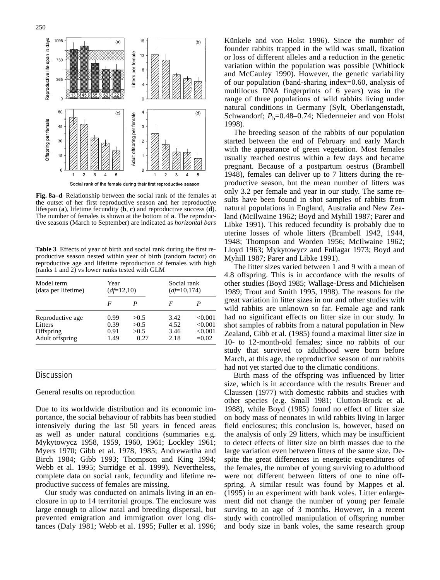

**Fig. 8a–d** Relationship between the social rank of the females at the outset of her first reproductive season and her reproductive lifespan (**a**), lifetime fecundity (**b**, **c**) and reproductive success (**d**). The number of females is shown at the bottom of **a**. The reproductive seasons (March to September) are indicated as *horizontal bars*

**Table 3** Effects of year of birth and social rank during the first reproductive season nested within year of birth (random factor) on reproductive age and lifetime reproduction of females with high (ranks 1 and 2) vs lower ranks tested with GLM

| Model term          | Year        |      | Social rank  |         |  |
|---------------------|-------------|------|--------------|---------|--|
| (data per lifetime) | $(d=12,10)$ |      | $(d=10,174)$ |         |  |
|                     | F           |      | F            |         |  |
| Reproductive age    | 0.99        | >0.5 | 3.42         | < 0.001 |  |
| Litters             | 0.39        | >0.5 | 4.52         | < 0.001 |  |
| Offspring           | 0.91        | >0.5 | 3.46         | < 0.001 |  |
| Adult offspring     | 1.49        | 0.27 | 2.18         | $=0.02$ |  |

## **Discussion**

#### General results on reproduction

Due to its worldwide distribution and its economic importance, the social behaviour of rabbits has been studied intensively during the last 50 years in fenced areas as well as under natural conditions (summaries e.g. Mykytowycz 1958, 1959, 1960, 1961; Lockley 1961; Myers 1970; Gibb et al. 1978, 1985; Andrewartha and Birch 1984; Gibb 1993; Thompson and King 1994; Webb et al. 1995; Surridge et al. 1999). Nevertheless, complete data on social rank, fecundity and lifetime reproductive success of females are missing.

Our study was conducted on animals living in an enclosure in up to 14 territorial groups. The enclosure was large enough to allow natal and breeding dispersal, but prevented emigration and immigration over long distances (Daly 1981; Webb et al. 1995; Fuller et al. 1996;

Künkele and von Holst 1996). Since the number of founder rabbits trapped in the wild was small, fixation or loss of different alleles and a reduction in the genetic variation within the population was possible (Whitlock and McCauley 1990). However, the genetic variability of our population (band-sharing index=0.60, analysis of multilocus DNA fingerprints of 6 years) was in the range of three populations of wild rabbits living under natural conditions in Germany (Sylt, Oberlangenstadt, Schwandorf;  $P_b$ =0.48–0.74; Niedermeier and von Holst 1998).

The breeding season of the rabbits of our population started between the end of February and early March with the appearance of green vegetation. Most females usually reached oestrus within a few days and became pregnant. Because of a postpartum oestrus (Brambell 1948), females can deliver up to 7 litters during the reproductive season, but the mean number of litters was only 3.2 per female and year in our study. The same results have been found in shot samples of rabbits from natural populations in England, Australia and New Zealand (McIlwaine 1962; Boyd and Myhill 1987; Parer and Libke 1991). This reduced fecundity is probably due to uterine losses of whole litters (Brambell 1942, 1944, 1948; Thompson and Worden 1956; McIlwaine 1962; Lloyd 1963; Mykytowycz and Fullagar 1973; Boyd and Myhill 1987; Parer and Libke 1991).

The litter sizes varied between 1 and 9 with a mean of 4.8 offspring. This is in accordance with the results of other studies (Boyd 1985; Wallage-Dress and Michielsen 1989; Trout and Smith 1995, 1998). The reasons for the great variation in litter sizes in our and other studies with wild rabbits are unknown so far. Female age and rank had no significant effects on litter size in our study. In shot samples of rabbits from a natural population in New Zealand, Gibb et al. (1985) found a maximal litter size in 10- to 12-month-old females; since no rabbits of our study that survived to adulthood were born before March, at this age, the reproductive season of our rabbits had not yet started due to the climatic conditions.

Birth mass of the offspring was influenced by litter size, which is in accordance with the results Breuer and Claussen (1977) with domestic rabbits and studies with other species (e.g. Small 1981; Clutton-Brock et al. 1988), while Boyd (1985) found no effect of litter size on body mass of neonates in wild rabbits living in larger field enclosures; this conclusion is, however, based on the analysis of only 29 litters, which may be insufficient to detect effects of litter size on birth masses due to the large variation even between litters of the same size. Despite the great differences in energetic expenditures of the females, the number of young surviving to adulthood were not different between litters of one to nine offspring. A similar result was found by Mappes et al. (1995) in an experiment with bank voles. Litter enlargement did not change the number of young per female surving to an age of 3 months. However, in a recent study with controlled manipulation of offspring number and body size in bank voles, the same research group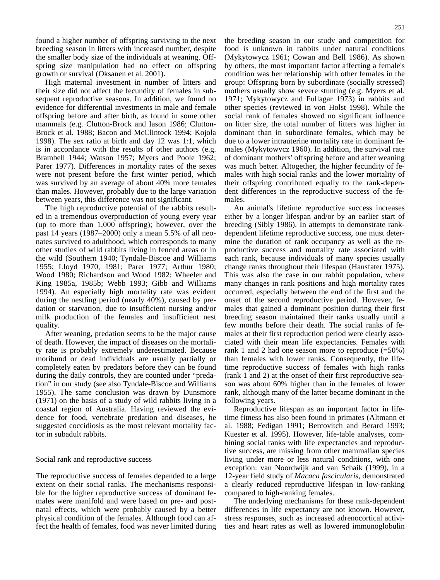found a higher number of offspring surviving to the next breeding season in litters with increased number, despite the smaller body size of the individuals at weaning. Offspring size manipulation had no effect on offspring growth or survival (Oksanen et al. 2001).

High maternal investment in number of litters and their size did not affect the fecundity of females in subsequent reproductive seasons. In addition, we found no evidence for differential investments in male and female offspring before and after birth, as found in some other mammals (e.g. Clutton-Brock and Iason 1986; Clutton-Brock et al. 1988; Bacon and McClintock 1994; Kojola 1998). The sex ratio at birth and day 12 was 1:1, which is in accordance with the results of other authors (e.g. Brambell 1944; Watson 1957; Myers and Poole 1962; Parer 1977). Differences in mortality rates of the sexes were not present before the first winter period, which was survived by an average of about 40% more females than males. However, probably due to the large variation between years, this difference was not significant.

The high reproductive potential of the rabbits resulted in a tremendous overproduction of young every year (up to more than 1,000 offspring); however, over the past 14 years (1987–2000) only a mean 5.5% of all neonates survived to adulthood, which corresponds to many other studies of wild rabbits living in fenced areas or in the wild (Southern 1940; Tyndale-Biscoe and Williams 1955; Lloyd 1970, 1981; Parer 1977; Arthur 1980; Wood 1980; Richardson and Wood 1982; Wheeler and King 1985a, 1985b; Webb 1993; Gibb and Williams 1994). An especially high mortality rate was evident during the nestling period (nearly 40%), caused by predation or starvation, due to insufficient nursing and/or milk production of the females and insufficient nest quality.

After weaning, predation seems to be the major cause of death. However, the impact of diseases on the mortality rate is probably extremely underestimated. Because moribund or dead individuals are usually partially or completely eaten by predators before they can be found during the daily controls, they are counted under "predation" in our study (see also Tyndale-Biscoe and Williams 1955). The same conclusion was drawn by Dunsmore (1971) on the basis of a study of wild rabbits living in a coastal region of Australia. Having reviewed the evidence for food, vertebrate predation and diseases, he suggested coccidiosis as the most relevant mortality factor in subadult rabbits.

## Social rank and reproductive success

The reproductive success of females depended to a large extent on their social ranks. The mechanisms responsible for the higher reproductive success of dominant females were manifold and were based on pre- and postnatal effects, which were probably caused by a better physical condition of the females. Although food can affect the health of females, food was never limited during the breeding season in our study and competition for food is unknown in rabbits under natural conditions (Mykytowycz 1961; Cowan and Bell 1986). As shown by others, the most important factor affecting a female's condition was her relationship with other females in the group: Offspring born by subordinate (socially stressed) mothers usually show severe stunting (e.g. Myers et al. 1971; Mykytowycz and Fullagar 1973) in rabbits and other species (reviewed in von Holst 1998). While the social rank of females showed no significant influence on litter size, the total number of litters was higher in dominant than in subordinate females, which may be due to a lower intrauterine mortality rate in dominant females (Mykytowycz 1960). In addition, the survival rate of dominant mothers' offspring before and after weaning was much better. Altogether, the higher fecundity of females with high social ranks and the lower mortality of their offspring contributed equally to the rank-dependent differences in the reproductive success of the females.

An animal's lifetime reproductive success increases either by a longer lifespan and/or by an earlier start of breeding (Sibly 1986). In attempts to demonstrate rankdependent lifetime reproductive success, one must determine the duration of rank occupancy as well as the reproductive success and mortality rate associated with each rank, because individuals of many species usually change ranks throughout their lifespan (Hausfater 1975). This was also the case in our rabbit population, where many changes in rank positions and high mortality rates occurred, especially between the end of the first and the onset of the second reproductive period. However, females that gained a dominant position during their first breeding season maintained their ranks usually until a few months before their death. The social ranks of females at their first reproduction period were clearly associated with their mean life expectancies. Females with rank 1 and 2 had one season more to reproduce  $(=50\%)$ than females with lower ranks. Consequently, the lifetime reproductive success of females with high ranks (rank 1 and 2) at the onset of their first reproductive season was about 60% higher than in the females of lower rank, although many of the latter became dominant in the following years.

Reproductive lifespan as an important factor in lifetime fitness has also been found in primates (Altmann et al. 1988; Fedigan 1991; Bercovitch and Berard 1993; Kuester et al. 1995). However, life-table analyses, combining social ranks with life expectancies and reproductive success, are missing from other mammalian species living under more or less natural conditions, with one exception: van Noordwijk and van Schaik (1999), in a 12-year field study of *Macaca fascicularis*, demonstrated a clearly reduced reproductive lifespan in low-ranking compared to high-ranking females.

The underlying mechanisms for these rank-dependent differences in life expectancy are not known. However, stress responses, such as increased adrenocortical activities and heart rates as well as lowered immunoglobulin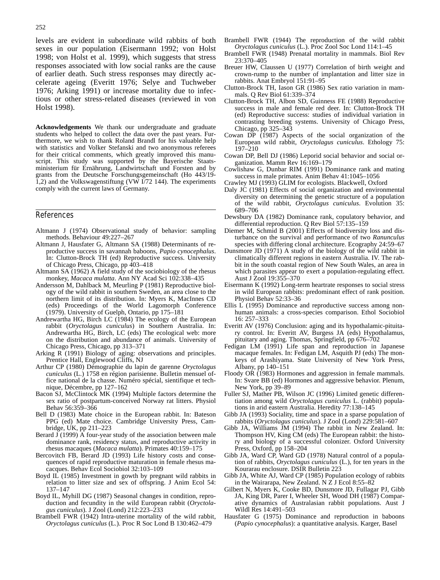levels are evident in subordinate wild rabbits of both sexes in our population (Eisermann 1992; von Holst 1998; von Holst et al. 1999), which suggests that stress responses associated with low social ranks are the cause of earlier death. Such stress responses may directly accelerate ageing (Everitt 1976; Selye and Tuchweber 1976; Arking 1991) or increase mortality due to infectious or other stress-related diseases (reviewed in von Holst 1998).

**Acknowledgements** We thank our undergraduate and graduate students who helped to collect the data over the past years. Furthermore, we wish to thank Roland Brandl for his valuable help with statistics and Volker Stefanski and two anonymous referees for their critical comments, which greatly improved this manuscript. This study was supported by the Bayerische Staatsministerium für Ernährung, Landwirtschaft und Forsten and by grants from the Deutsche Forschungsgemeinschaft (Ho 443/19- 1,2) and the Volkswagenstiftung (VW  $\overline{I}/72$  144). The experiments comply with the current laws of Germany.

#### References

- Altmann J (1974) Observational study of behavior: sampling methods. Behaviour 49:227–267
- Altmann J, Hausfater G, Altmann SA (1988) Determinants of reproductive success in savannah baboons, *Papio cynocephalus*. In: Clutton-Brock TH (ed) Reproductive success. University of Chicago Press, Chicago, pp 403–418
- Altmann SA (1962) A field study of the sociobiology of the rhesus monkey, *Macaca mulatta*. Ann NY Acad Sci 102:338–435
- Andersson M, Dahlback M, Meurling P (1981) Reproductive biology of the wild rabbit in southern Sweden, an area close to the northern limit of its distribution. In: Myers K, MacInnes CD (eds) Proceedings of the World Lagomorph Conference (1979). University of Guelph, Ontario, pp 175–181
- Andrewartha HG, Birch LC (1984) The ecology of the European rabbit (*Oryctolagus cuniculus*) in Southern Australia. In: Andrewartha HG, Birch, LC (eds) The ecological web: more on the distribution and abundance of animals. University of Chicago Press, Chicago, pp 313–371
- Arking R (1991) Biology of aging: observations and principles. Prentice Hall, Englewood Cliffs, NJ
- Arthur CP (1980) Démographie du lapin de garenne *Oryctolagus cuniculus* (L.) 1758 en région parisienne. Bulletin mensuel office national de la chasse. Numéro spécial, sientifique et technique, Décembre, pp 127–162
- Bacon SJ, McClintock MK (1994) Multiple factors determine the sex ratio of postpartum-conceived Norway rat litters. Physiol Behav 56:359–366
- Bell D (1983) Mate choice in the European rabbit. In: Bateson PPG (ed) Mate choice. Cambridge University Press, Cambridge, UK, pp 211–223
- Berard  $\overline{J}$  (1999)  $\overline{A}$  four-year study of the association between male dominance rank, residency status, and reproductive activity in rhesus macaques (*Macaca mulatta*). Primates 40:159–175
- Bercovitch FB, Berard JD (1993) Life history costs and consequences of rapid reproductive maturation in female rhesus macacques. Behav Ecol Sociobiol 32:103–109
- Boyd IL (1985) Investment in gowth by pregnant wild rabbits in relation to litter size and sex of offspring. J Anim Ecol 54: 137–147
- Boyd IL, Myhill DG (1987) Seasonal changes in condition, reproduction and fecundity in the wild European rabbit (*Oryctolagus cuniculus*). J Zool (Lond) 212:223–233
- Brambell FWR (1942) Intra-uterine mortality of the wild rabbit, *Oryctolagus cuniculus* (L.). Proc R Soc Lond B 130:462–479
- Brambell FWR (1944) The reproduction of the wild rabbit *Oryctolagus cuniculus* (L.). Proc Zool Soc Lond 114:1–45
- Brambell FWR (1948) Prenatal mortality in mammals. Biol Rev 23:370–405
- Breuer HW, Claussen U (1977) Correlation of birth weight and crown-rump to the number of implantation and litter size in rabbits. Anat Embryol 151:91–95
- Clutton-Brock TH, Iason GR (1986) Sex ratio variation in mammals. Q Rev Biol 61:339–374
- Clutton-Brock TH, Albon SD, Guinness FE (1988) Reproductive success in male and female red deer. In: Clutton-Brock TH (ed) Reproductive success: studies of individual variation in contrasting breeding systems. University of Chicago Press, Chicago, pp 325–343
- Cowan DP (1987) Aspects of the social organization of the European wild rabbit, *Oryctolagus cuniculus*. Ethology 75: 197–210
- Cowan DP, Bell DJ (1986) Leporid social behavior and social organization. Mamm Rev 16:169–179
- Cowlishaw G, Dunbar RIM (1991) Dominance rank and mating success in male primates. Anim Behav 41:1045–1056
- Crawley MJ (1993) GLIM for ecologists. Blackwell, Oxford
- Daly JC (1981) Effects of social organization and environmental diversity on determining the genetic structure of a population of the wild rabbit, *Oryctolagus cuniculus*. Evolution 35: 689–706
- Dewsbury DA (1982) Dominance rank, copulatory behavior, and differential reproduction. Q Rev Biol 57:135–159
- Diemer M, Schmid B (2001) Effects of biodiversity loss and disturbance on the survival and performance of two *Ranunculus* species with differing clonal architecture. Ecography 24:59–67
- Dunsmore JD (1971) A study of the biology of the wild rabbit in climatically different regions in eastern Australia. IV. The rabbit in the south coastal region of New South Wales, an area in which parasites appear to exert a population-regulating effect. Aust J Zool 19:355–370
- Eisermann K (1992) Long-term heartrate responses to social stress in wild European rabbits: predominant effect of rank position. Physiol Behav 52:33–36
- Ellis L (1995) Dominance and reproductive success among nonhuman animals: a cross-species comparison. Ethol Sociobiol 16: 257–333
- Everitt AV (1976) Conclusion: aging and its hypothalamic-pituitary control. In: Everitt AV, Burgess JA (eds) Hypothalamus, pituitary and aging. Thomas, Springfield, pp 676–702
- Fedigan LM (1991) Life span and reproduction in Japanese macaque females. In: Fedigan LM, Asquith PJ (eds) The monkeys of Arashiyama. State University of New York Press, Albany, pp 140–151
- Floody OR (1983) Hormones and aggression in female mammals. In: Svare BB (ed) Hormones and aggressive behavior. Plenum, New York, pp 39–89
- Fuller SJ, Mather PB, Wilson JC (1996) Limited genetic differentiation among wild *Oryctolagus cuniculus* L. (rabbit) populations in arid eastern Australia. Heredity 77:138–145
- Gibb JA (1993) Sociality, time and space in a sparse population of rabbits (*Oryctolagus cuniculus*). J Zool (Lond) 229:581–607
- Gibb JA, Williams JM (1994) The rabbit in New Zealand. In: Thompson HV, King CM (eds) The European rabbit: the history and biology of a successful colonizer. Oxford University Press, Oxford, pp 158–204
- Gibb JA, Ward CP, Ward GD (1978) Natural control of a population of rabbits, *Oryctolagus cuniculus* (L.), for ten years in the Kourarau enclosure. DSIR Bulletin 223
- Gibb JA, White AJ, Ward CP (1985) Population ecology of rabbits in the Wairarapa, New Zealand. N Z J Ecol 8:55–82
- Gilbert N, Myers K, Cooke BD, Dunsmore JD, Fullagar PJ, Gibb JA, King DR, Parer I, Wheeler SH, Wood DH (1987) Comparative dynamics of Australasian rabbit populations. Aust J Wildl Res 14:491–503
- Hausfater G (1975) Dominance and reproduction in baboons (*Papio cynocephalus*): a quantitative analysis. Karger, Basel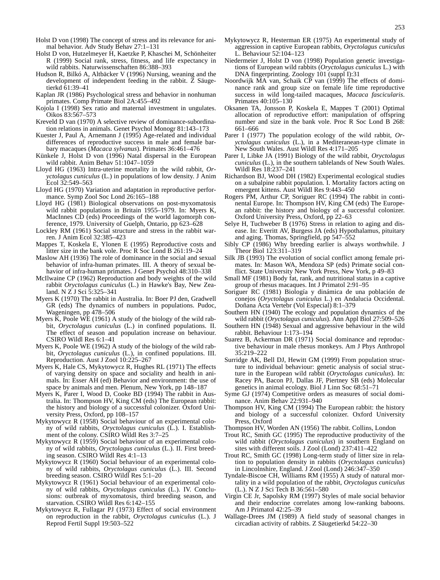- Holst D von (1998) The concept of stress and its relevance for animal behavior. Adv Study Behav 27:1–131
- Holst D von, Hutzelmeyer H, Kaetzke P, Khaschei M, Schönheiter R (1999) Social rank, stress, fitness, and life expectancy in wild rabbits. Naturwissenschaften 86:388–393
- Hudson R, Bilkó A, Altbäcker V (1996) Nursing, weaning and the development of independent feeding in the rabbit. Z Säugetierkd 61:39–41
- Kaplan JR (1986) Psychological stress and behavior in nonhuman primates. Comp Primate Biol 2A:455–492
- Kojola I (1998) Sex ratio and maternal investment in ungulates. Oikos 83:567–573
- Kreveld D van (1970) A selective review of dominance-subordination relations in animals. Genet Psychol Monogr 81:143–173
- Kuester J, Paul A, Arnemann J (1995) Age-related and individual differences of reproductive success in male and female barbary macaques (*Macaca sylvanus*). Primates 36:461–476
- Künkele J, Holst D von (1996) Natal dispersal in the European wild rabbit. Anim Behav 51:1047–1059
- Lloyd HG (1963) Intra-uterine mortality in the wild rabbit, *Oryctolagus cuniculus* (L.) in populations of low density. J Anim Ecol 32:549–563
- Lloyd HG (1970) Variation and adaptation in reproductive performance. Symp Zool Soc Lond 26:165–188
- Lloyd HG (1981) Biological observations on post-myxomatosis wild rabbit populations in Britain 1955–1979. In: Myers K, MacInnes CD (eds) Proceedings of the world lagomorph conference, 1979. University of Guelph, Ontario, pp 623–628
- Lockley RM (1961) Social structure and stress in the rabbit warren. J Anim Ecol 32:385–423
- Mappes T, Koskela E, Ylonen E (1995) Reproductive costs and litter size in the bank vole. Proc R Soc Lond B 261:19–24
- Maslow AH (1936) The role of dominance in the social and sexual behavior of infra-human primates. III. A theory of sexual behavior of infra-human primates. J Genet Psychol 48:310–338
- McIlwaine CP (1962) Reproduction and body weights of the wild rabbit *Oryctolagus cuniculus* (L.) in Hawke's Bay, New Zealand. N Z J Sci 5:325–341
- Myers K (1970) The rabbit in Australia. In: Boer PJ den, Gradwell GR (eds) The dynamics of numbers in populations. Pudoc, Wageningen, pp 478–506
- Myers K, Poole WE (1961) A study of the biology of the wild rabbit, *Oryctolagus cuniculus* (L.) in confined populations. II. The effect of season and population increase on behaviour. CSIRO Wildl Res 6:1–41
- Myers K, Poole WE (1962) A study of the biology of the wild rabbit, *Oryctolagus cuniculus* (L.), in confined populations. III. Reproduction. Aust J Zool 10:225–267
- Myers K, Hale CS, Mykytowycz R, Hughes RL (1971) The effects of varying density on space and sociality and health in animals. In: Esser AH (ed) Behavior and environment: the use of space by animals and men. Plenum, New York, pp 148–187
- Myers K, Parer I, Wood D, Cooke BD (1994) The rabbit in Australia. In: Thompson HV, King CM (eds) The European rabbit: the history and biology of a successful colonizer. Oxford University Press, Oxford, pp 108–157
- Mykytowycz R (1958) Social behaviour of an experimental colony of wild rabbits, *Oryctolagus cuniculus* (L.). I. Establishment of the colony. CSIRO Wildl Res 3:7–25
- Mykytowycz R (1959) Social behaviour of an experimental colony of wild rabbits, *Oryctolagus cuniculus* (L.). II. First breeding season. CSIRO Wildl Res 4:1–13
- Mykytowycz R (1960) Social behaviour of an experimental colony of wild rabbits, *Oryctolagus cuniculus* (L.). III. Second breeding season. CSIRO Wildl Res 5:1–20
- Mykytowycz R (1961) Social behaviour of an experimental colony of wild rabbits, *Oryctolagus cuniculus* (L.). IV. Conclusions: outbreak of myxomatosis, third breeding season, and starvation. CSIRO Wildl Res 6:142–155
- Mykytowycz R, Fullagar PJ (1973) Effect of social environment on reproduction in the rabbit, *Oryctolagus cuniculus* (L.). J Reprod Fertil Suppl 19:503–522
- Mykytowycz R, Hesterman ER (1975) An experimental study of aggression in captive European rabbits, *Oryctolagus cuniculus* L. Behaviour 52:104–123
- Niedermeier J, Holst D von (1998) Population genetic investigations of European wild rabbits (*Oryctolagus cuniculus* L.) with DNA fingerprinting. Zoology 101 (suppl I):31
- Noordwijk MA van, Schaik CP van (1999) The effects of dominance rank and group size on female life time reproductive success in wild long-tailed macaques, *Macaca fascicularis*. Primates 40:105–130
- Oksanen TA, Jonsson P, Koskela E, Mappes T (2001) Optimal allocation of reproductive effort: manipulation of offspring number and size in the bank vole. Proc R Soc Lond B 268: 661–666
- Parer I (1977) The population ecology of the wild rabbit, *Oryctolagus cuniculus* (L.), in a Mediteranean-type climate in New South Wales. Aust Wildl Res 4:171–205
- Parer I, Libke JA (1991) Biology of the wild rabbit, *Oryctolagus cuniculus* (L.), in the southern tablelands of New South Wales. Wildl Res 18:237–241
- Richardson BJ, Wood DH (1982) Experimental ecological studies on a subalpine rabbit population. I. Mortality factors acting on emergent kittens. Aust Wildl Res 9:443–450
- Rogers PM, Arthur CP, Soriguer RC (1994) The rabbit in continental Europe. In: Thompson HV, King CM (eds) The European rabbit: the history and biology of a successful colonizer. Oxford University Press, Oxford, pp 22–63
- Selye H, Tuchweber B (1976) Stress in relation to aging and disease. In: Everitt AV, Burgess JA (eds) Hypothalamus, pituitary and aging. Thomas, Springfield, pp 547–552
- Sibly CP (1986) Why breeding earlier is always worthwhile. J Theor Biol 123:311–319
- Silk JB (1993) The evolution of social conflict among female primates. In: Mason WA, Mendoza SP (eds) Primate social conflict. State University New York Press, New York, p 49–83
- Small MF (1981) Body fat, rank, and nutritional status in a captive group of rhesus macaques. Int J Primatol 2:91–95
- Soriguer RC (1981) Biología y dinámica de una población de conejos (*Oryctolagus cuniculus* L.) en Andalucia Occidental. Doñana Acta Vertebr (Vol Especial) 8:1–379
- Southern HN (1940) The ecology and population dynamics of the wild rabbit (*Oryctolagus cuniculus*). Ann Appl Biol 27:509–526
- Southern HN (1948) Sexual and aggressive behaviour in the wild rabbit. Behaviour 1:173–194
- Suarez B, Ackerman DR (1971) Social dominance and reproductive behaviour in male rhesus monkeys. Am J Phys Anthropol 35:219–222
- Surridge AK, Bell DJ, Hewitt GM (1999) From population structure to individual behaviour: genetic analysis of social structure in the European wild rabbit (*Oryctolagus cuniculus*). In: Racey PA, Bacon PJ, Dallas JF, Piertney SB (eds) Molecular genetics in animal ecology. Biol J Linn Soc 68:51–71
- Syme GJ (1974) Competitive orders as measures of social dominance. Anim Behav 22:931–940
- Thompson HV, King CM (1994) The European rabbit: the history and biology of a successful colonizer. Oxford University Press, Oxford
- Thompson HV, Worden AN (1956) The rabbit. Collins, London
- Trout RC, Smith GC (1995) The reproductive productivity of the wild rabbit (*Oryctolagus cuniculus*) in southern England on sites with different soils. J Zool (Lond) 237:411–422
- Trout RC, Smith GC (1998) Long-term study of litter size in relation to population density in rabbits (*Oryctolagus cuniculus*) in Lincolnshire, England. J Zool (Lond) 246:347–350
- Tyndale-Biscoe CH, Williams RM (1955) A study of natural mortality in a wild population of the rabbit, *Oryctolagus cuniculus* (L.). N Z J Sci Tech B 36:561–580
- Virgin CE Jr, Sapolsky RM (1997) Styles of male social behavior and their endocrine correlates among low-ranking baboons. Am J Primatol 42:25–39
- Wallage-Drees JM (1989) A field study of seasonal changes in circadian activity of rabbits. Z Säugetierkd 54:22–30